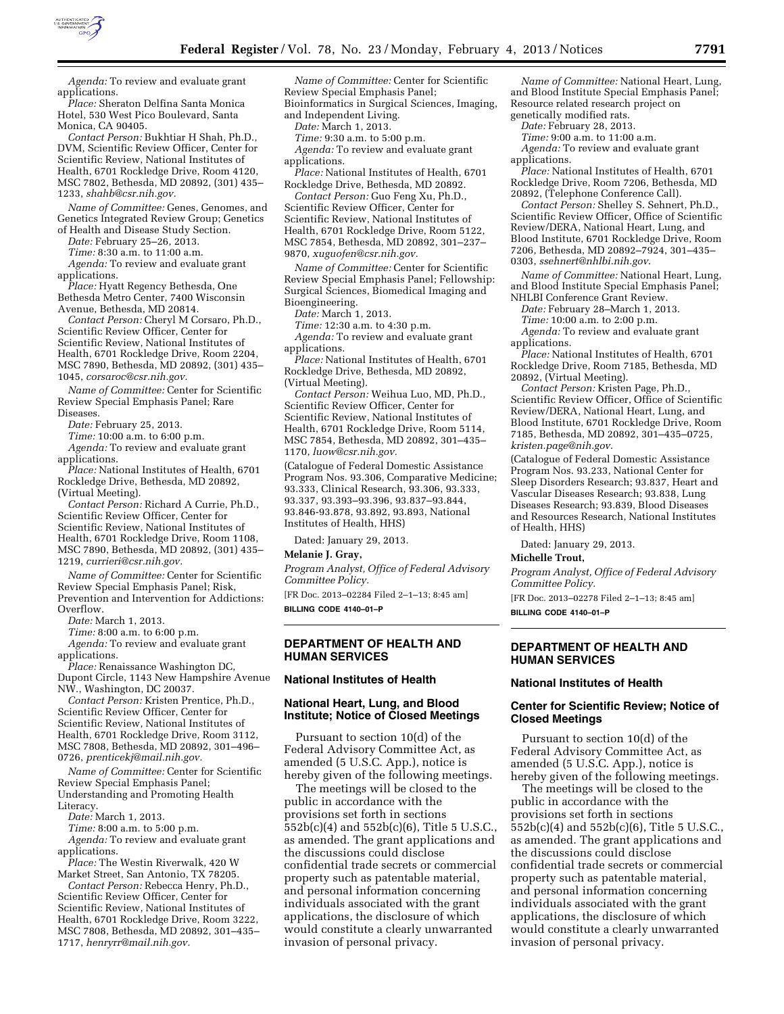

*Agenda:* To review and evaluate grant applications.

*Place:* Sheraton Delfina Santa Monica Hotel, 530 West Pico Boulevard, Santa Monica, CA 90405.

*Contact Person:* Bukhtiar H Shah, Ph.D., DVM, Scientific Review Officer, Center for Scientific Review, National Institutes of Health, 6701 Rockledge Drive, Room 4120, MSC 7802, Bethesda, MD 20892, (301) 435– 1233, *[shahb@csr.nih.gov.](mailto:shahb@csr.nih.gov)* 

*Name of Committee:* Genes, Genomes, and Genetics Integrated Review Group; Genetics of Health and Disease Study Section.

*Date:* February 25–26, 2013.

*Time:* 8:30 a.m. to 11:00 a.m.

*Agenda:* To review and evaluate grant

applications. *Place:* Hyatt Regency Bethesda, One

Bethesda Metro Center, 7400 Wisconsin Avenue, Bethesda, MD 20814.

*Contact Person:* Cheryl M Corsaro, Ph.D., Scientific Review Officer, Center for Scientific Review, National Institutes of Health, 6701 Rockledge Drive, Room 2204, MSC 7890, Bethesda, MD 20892, (301) 435– 1045, *[corsaroc@csr.nih.gov.](mailto:corsaroc@csr.nih.gov)* 

*Name of Committee:* Center for Scientific Review Special Emphasis Panel; Rare Diseases.

*Date:* February 25, 2013.

*Time:* 10:00 a.m. to 6:00 p.m.

*Agenda:* To review and evaluate grant applications.

*Place:* National Institutes of Health, 6701 Rockledge Drive, Bethesda, MD 20892, (Virtual Meeting).

*Contact Person:* Richard A Currie, Ph.D., Scientific Review Officer, Center for Scientific Review, National Institutes of Health, 6701 Rockledge Drive, Room 1108, MSC 7890, Bethesda, MD 20892, (301) 435– 1219, *[currieri@csr.nih.gov.](mailto:currieri@csr.nih.gov)* 

*Name of Committee:* Center for Scientific Review Special Emphasis Panel; Risk, Prevention and Intervention for Addictions: Overflow.

*Date:* March 1, 2013.

*Time:* 8:00 a.m. to 6:00 p.m.

*Agenda:* To review and evaluate grant applications.

*Place:* Renaissance Washington DC, Dupont Circle, 1143 New Hampshire Avenue NW., Washington, DC 20037.

*Contact Person:* Kristen Prentice, Ph.D., Scientific Review Officer, Center for Scientific Review, National Institutes of Health, 6701 Rockledge Drive, Room 3112, MSC 7808, Bethesda, MD 20892, 301–496– 0726, *[prenticekj@mail.nih.gov.](mailto:prenticekj@mail.nih.gov)* 

*Name of Committee:* Center for Scientific Review Special Emphasis Panel; Understanding and Promoting Health Literacy.

*Date:* March 1, 2013.

*Time:* 8:00 a.m. to 5:00 p.m. *Agenda:* To review and evaluate grant applications.

*Place:* The Westin Riverwalk, 420 W Market Street, San Antonio, TX 78205.

*Contact Person:* Rebecca Henry, Ph.D., Scientific Review Officer, Center for Scientific Review, National Institutes of Health, 6701 Rockledge Drive, Room 3222, MSC 7808, Bethesda, MD 20892, 301–435– 1717, *[henryrr@mail.nih.gov.](mailto:henryrr@mail.nih.gov)* 

*Name of Committee:* Center for Scientific Review Special Emphasis Panel; Bioinformatics in Surgical Sciences, Imaging, and Independent Living.

*Date:* March 1, 2013.

*Time:* 9:30 a.m. to 5:00 p.m.

*Agenda:* To review and evaluate grant applications.

*Place:* National Institutes of Health, 6701 Rockledge Drive, Bethesda, MD 20892.

*Contact Person:* Guo Feng Xu, Ph.D., Scientific Review Officer, Center for Scientific Review, National Institutes of Health, 6701 Rockledge Drive, Room 5122, MSC 7854, Bethesda, MD 20892, 301–237– 9870, *[xuguofen@csr.nih.gov.](mailto:xuguofen@csr.nih.gov)* 

*Name of Committee:* Center for Scientific Review Special Emphasis Panel; Fellowship: Surgical Sciences, Biomedical Imaging and Bioengineering.

*Date:* March 1, 2013.

*Time:* 12:30 a.m. to 4:30 p.m.

*Agenda:* To review and evaluate grant applications.

*Place:* National Institutes of Health, 6701 Rockledge Drive, Bethesda, MD 20892, (Virtual Meeting).

*Contact Person:* Weihua Luo, MD, Ph.D., Scientific Review Officer, Center for Scientific Review, National Institutes of Health, 6701 Rockledge Drive, Room 5114, MSC 7854, Bethesda, MD 20892, 301–435– 1170, *[luow@csr.nih.gov.](mailto:luow@csr.nih.gov)* 

(Catalogue of Federal Domestic Assistance Program Nos. 93.306, Comparative Medicine; 93.333, Clinical Research, 93.306, 93.333, 93.337, 93.393–93.396, 93.837–93.844, 93.846-93.878, 93.892, 93.893, National Institutes of Health, HHS)

Dated: January 29, 2013.

### **Melanie J. Gray,**

*Program Analyst, Office of Federal Advisory Committee Policy.* 

[FR Doc. 2013–02284 Filed 2–1–13; 8:45 am] **BILLING CODE 4140–01–P** 

## **DEPARTMENT OF HEALTH AND HUMAN SERVICES**

### **National Institutes of Health**

## **National Heart, Lung, and Blood Institute; Notice of Closed Meetings**

Pursuant to section 10(d) of the Federal Advisory Committee Act, as amended (5 U.S.C. App.), notice is hereby given of the following meetings.

The meetings will be closed to the public in accordance with the provisions set forth in sections 552b(c)(4) and 552b(c)(6), Title 5 U.S.C., as amended. The grant applications and the discussions could disclose confidential trade secrets or commercial property such as patentable material, and personal information concerning individuals associated with the grant applications, the disclosure of which would constitute a clearly unwarranted invasion of personal privacy.

*Name of Committee:* National Heart, Lung, and Blood Institute Special Emphasis Panel; Resource related research project on genetically modified rats.

*Date:* February 28, 2013.

*Time:* 9:00 a.m. to 11:00 a.m.

*Agenda:* To review and evaluate grant applications.

*Place:* National Institutes of Health, 6701 Rockledge Drive, Room 7206, Bethesda, MD 20892, (Telephone Conference Call).

*Contact Person:* Shelley S. Sehnert, Ph.D., Scientific Review Officer, Office of Scientific Review/DERA, National Heart, Lung, and Blood Institute, 6701 Rockledge Drive, Room 7206, Bethesda, MD 20892–7924, 301–435– 0303, *[ssehnert@nhlbi.nih.gov](mailto:ssehnert@nhlbi.nih.gov)*.

*Name of Committee:* National Heart, Lung, and Blood Institute Special Emphasis Panel; NHLBI Conference Grant Review.

*Date:* February 28–March 1, 2013.

*Time:* 10:00 a.m. to 2:00 p.m.

*Agenda:* To review and evaluate grant applications.

*Place:* National Institutes of Health, 6701 Rockledge Drive, Room 7185, Bethesda, MD 20892, (Virtual Meeting).

*Contact Person:* Kristen Page, Ph.D., Scientific Review Officer, Office of Scientific Review/DERA, National Heart, Lung, and Blood Institute, 6701 Rockledge Drive, Room 7185, Bethesda, MD 20892, 301–435–0725, *[kristen.page@nih.gov](mailto:kristen.page@nih.gov)*.

(Catalogue of Federal Domestic Assistance Program Nos. 93.233, National Center for Sleep Disorders Research; 93.837, Heart and Vascular Diseases Research; 93.838, Lung Diseases Research; 93.839, Blood Diseases and Resources Research, National Institutes of Health, HHS)

Dated: January 29, 2013.

### **Michelle Trout,**

*Program Analyst, Office of Federal Advisory Committee Policy.* 

[FR Doc. 2013–02278 Filed 2–1–13; 8:45 am]

**BILLING CODE 4140–01–P** 

# **DEPARTMENT OF HEALTH AND HUMAN SERVICES**

## **National Institutes of Health**

# **Center for Scientific Review; Notice of Closed Meetings**

Pursuant to section 10(d) of the Federal Advisory Committee Act, as amended (5 U.S.C. App.), notice is hereby given of the following meetings.

The meetings will be closed to the public in accordance with the provisions set forth in sections 552b(c)(4) and 552b(c)(6), Title 5 U.S.C., as amended. The grant applications and the discussions could disclose confidential trade secrets or commercial property such as patentable material, and personal information concerning individuals associated with the grant applications, the disclosure of which would constitute a clearly unwarranted invasion of personal privacy.